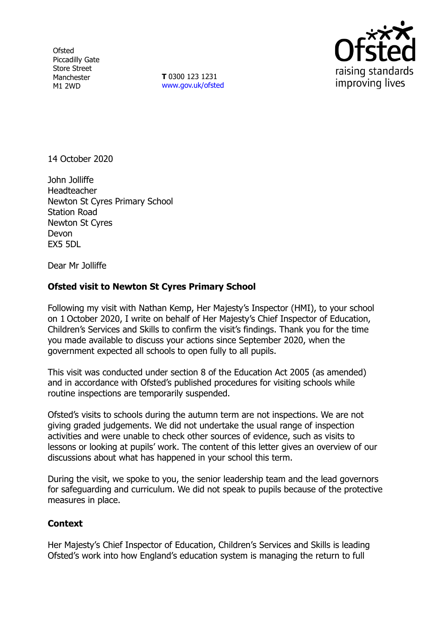**Ofsted** Piccadilly Gate Store Street Manchester M1 2WD

**T** 0300 123 1231 [www.gov.uk/ofsted](http://www.gov.uk/ofsted)



14 October 2020

John Jolliffe **Headteacher** Newton St Cyres Primary School Station Road Newton St Cyres Devon EX5 5DL

Dear Mr Jolliffe

## **Ofsted visit to Newton St Cyres Primary School**

Following my visit with Nathan Kemp, Her Majesty's Inspector (HMI), to your school on 1 October 2020, I write on behalf of Her Majesty's Chief Inspector of Education, Children's Services and Skills to confirm the visit's findings. Thank you for the time you made available to discuss your actions since September 2020, when the government expected all schools to open fully to all pupils.

This visit was conducted under section 8 of the Education Act 2005 (as amended) and in accordance with Ofsted's published procedures for visiting schools while routine inspections are temporarily suspended.

Ofsted's visits to schools during the autumn term are not inspections. We are not giving graded judgements. We did not undertake the usual range of inspection activities and were unable to check other sources of evidence, such as visits to lessons or looking at pupils' work. The content of this letter gives an overview of our discussions about what has happened in your school this term.

During the visit, we spoke to you, the senior leadership team and the lead governors for safeguarding and curriculum. We did not speak to pupils because of the protective measures in place.

## **Context**

Her Majesty's Chief Inspector of Education, Children's Services and Skills is leading Ofsted's work into how England's education system is managing the return to full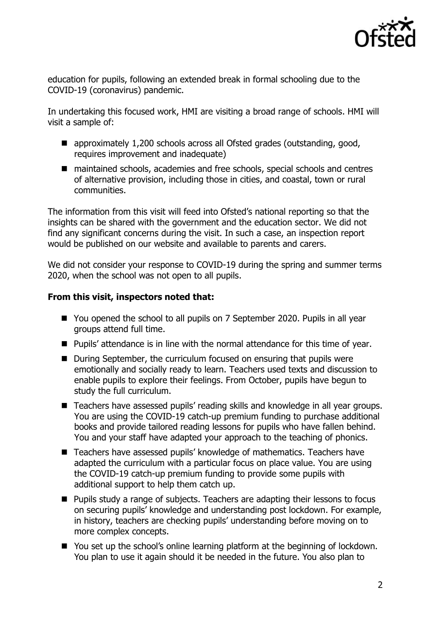

education for pupils, following an extended break in formal schooling due to the COVID-19 (coronavirus) pandemic.

In undertaking this focused work, HMI are visiting a broad range of schools. HMI will visit a sample of:

- approximately 1,200 schools across all Ofsted grades (outstanding, good, requires improvement and inadequate)
- maintained schools, academies and free schools, special schools and centres of alternative provision, including those in cities, and coastal, town or rural communities.

The information from this visit will feed into Ofsted's national reporting so that the insights can be shared with the government and the education sector. We did not find any significant concerns during the visit. In such a case, an inspection report would be published on our website and available to parents and carers.

We did not consider your response to COVID-19 during the spring and summer terms 2020, when the school was not open to all pupils.

## **From this visit, inspectors noted that:**

- You opened the school to all pupils on 7 September 2020. Pupils in all year groups attend full time.
- Pupils' attendance is in line with the normal attendance for this time of year.
- During September, the curriculum focused on ensuring that pupils were emotionally and socially ready to learn. Teachers used texts and discussion to enable pupils to explore their feelings. From October, pupils have begun to study the full curriculum.
- Teachers have assessed pupils' reading skills and knowledge in all year groups. You are using the COVID-19 catch-up premium funding to purchase additional books and provide tailored reading lessons for pupils who have fallen behind. You and your staff have adapted your approach to the teaching of phonics.
- Teachers have assessed pupils' knowledge of mathematics. Teachers have adapted the curriculum with a particular focus on place value. You are using the COVID-19 catch-up premium funding to provide some pupils with additional support to help them catch up.
- Pupils study a range of subjects. Teachers are adapting their lessons to focus on securing pupils' knowledge and understanding post lockdown. For example, in history, teachers are checking pupils' understanding before moving on to more complex concepts.
- You set up the school's online learning platform at the beginning of lockdown. You plan to use it again should it be needed in the future. You also plan to